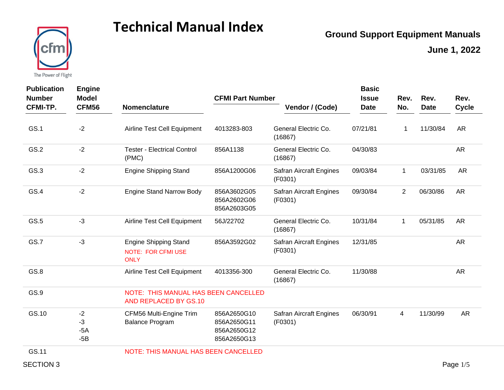

| <b>Publication</b><br><b>Number</b> | <b>Engine</b><br><b>Model</b>  |                                                                          | <b>CFMI Part Number</b>                                  |                                           | <b>Basic</b><br><b>Issue</b> | Rev.           | Rev.        | Rev.         |
|-------------------------------------|--------------------------------|--------------------------------------------------------------------------|----------------------------------------------------------|-------------------------------------------|------------------------------|----------------|-------------|--------------|
| CFMI-TP.                            | <b>CFM56</b>                   | <b>Nomenclature</b>                                                      |                                                          | Vendor / (Code)                           | <b>Date</b>                  | No.            | <b>Date</b> | <b>Cycle</b> |
| GS.1                                | $-2$                           | Airline Test Cell Equipment                                              | 4013283-803                                              | General Electric Co.<br>(16867)           | 07/21/81                     | 1              | 11/30/84    | <b>AR</b>    |
| GS.2                                | $-2$                           | <b>Tester - Electrical Control</b><br>(PMC)                              | 856A1138                                                 | General Electric Co.<br>(16867)           | 04/30/83                     |                |             | <b>AR</b>    |
| GS.3                                | $-2$                           | <b>Engine Shipping Stand</b>                                             | 856A1200G06                                              | <b>Safran Aircraft Engines</b><br>(F0301) | 09/03/84                     | $\mathbf 1$    | 03/31/85    | <b>AR</b>    |
| GS.4                                | $-2$                           | <b>Engine Stand Narrow Body</b>                                          | 856A3602G05<br>856A2602G06<br>856A2603G05                | Safran Aircraft Engines<br>(F0301)        | 09/30/84                     | $\overline{2}$ | 06/30/86    | <b>AR</b>    |
| GS.5                                | $-3$                           | Airline Test Cell Equipment                                              | 56J/22702                                                | General Electric Co.<br>(16867)           | 10/31/84                     | $\mathbf{1}$   | 05/31/85    | <b>AR</b>    |
| GS.7                                | $-3$                           | <b>Engine Shipping Stand</b><br><b>NOTE: FOR CFMI USE</b><br><b>ONLY</b> | 856A3592G02                                              | Safran Aircraft Engines<br>(F0301)        | 12/31/85                     |                |             | <b>AR</b>    |
| GS.8                                |                                | Airline Test Cell Equipment                                              | 4013356-300                                              | General Electric Co.<br>(16867)           | 11/30/88                     |                |             | <b>AR</b>    |
| GS.9                                |                                | NOTE: THIS MANUAL HAS BEEN CANCELLED<br>AND REPLACED BY GS.10            |                                                          |                                           |                              |                |             |              |
| GS.10                               | $-2$<br>$-3$<br>$-5A$<br>$-5B$ | CFM56 Multi-Engine Trim<br><b>Balance Program</b>                        | 856A2650G10<br>856A2650G11<br>856A2650G12<br>856A2650G13 | Safran Aircraft Engines<br>(F0301)        | 06/30/91                     | 4              | 11/30/99    | <b>AR</b>    |
| GS.11                               |                                | <b>NOTE: THIS MANUAL HAS BEEN CANCELLED</b>                              |                                                          |                                           |                              |                |             |              |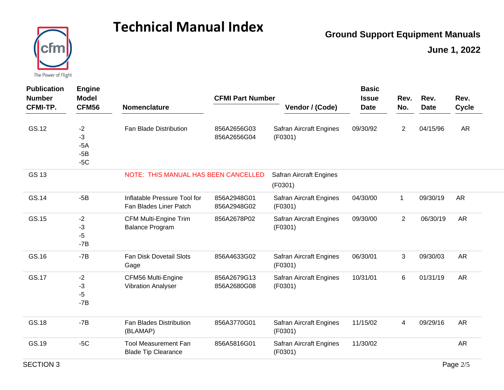

| <b>Publication</b><br><b>Number</b> | <b>Engine</b><br><b>Model</b>           |                                                           | <b>CFMI Part Number</b>    |                                           | <b>Basic</b><br><b>Issue</b> | Rev.           | Rev.        | Rev.         |
|-------------------------------------|-----------------------------------------|-----------------------------------------------------------|----------------------------|-------------------------------------------|------------------------------|----------------|-------------|--------------|
| CFMI-TP.                            | <b>CFM56</b>                            | <b>Nomenclature</b>                                       |                            | Vendor / (Code)                           | <b>Date</b>                  | No.            | <b>Date</b> | <b>Cycle</b> |
| GS.12                               | $-2$<br>$-3$<br>$-5A$<br>$-5B$<br>$-5C$ | Fan Blade Distribution                                    | 856A2656G03<br>856A2656G04 | <b>Safran Aircraft Engines</b><br>(F0301) | 09/30/92                     | $\overline{2}$ | 04/15/96    | <b>AR</b>    |
| GS 13                               |                                         | NOTE: THIS MANUAL HAS BEEN CANCELLED                      |                            | Safran Aircraft Engines<br>(F0301)        |                              |                |             |              |
| GS.14                               | $-5B$                                   | Inflatable Pressure Tool for<br>Fan Blades Liner Patch    | 856A2948G01<br>856A2948G02 | <b>Safran Aircraft Engines</b><br>(F0301) | 04/30/00                     | $\mathbf{1}$   | 09/30/19    | <b>AR</b>    |
| GS.15                               | $-2$<br>-3<br>$-5$<br>$-7B$             | <b>CFM Multi-Engine Trim</b><br><b>Balance Program</b>    | 856A2678P02                | Safran Aircraft Engines<br>(F0301)        | 09/30/00                     | $\overline{2}$ | 06/30/19    | <b>AR</b>    |
| GS.16                               | $-7B$                                   | Fan Disk Dovetail Slots<br>Gage                           | 856A4633G02                | <b>Safran Aircraft Engines</b><br>(F0301) | 06/30/01                     | 3              | 09/30/03    | <b>AR</b>    |
| GS.17                               | $-2$<br>-3<br>$-5$<br>$-7B$             | <b>CFM56 Multi-Engine</b><br><b>Vibration Analyser</b>    | 856A2679G13<br>856A2680G08 | <b>Safran Aircraft Engines</b><br>(F0301) | 10/31/01                     | 6              | 01/31/19    | <b>AR</b>    |
| GS.18                               | $-7B$                                   | Fan Blades Distribution<br>(BLAMAP)                       | 856A3770G01                | Safran Aircraft Engines<br>(F0301)        | 11/15/02                     | 4              | 09/29/16    | <b>AR</b>    |
| GS.19                               | $-5C$                                   | <b>Tool Measurement Fan</b><br><b>Blade Tip Clearance</b> | 856A5816G01                | <b>Safran Aircraft Engines</b><br>(F0301) | 11/30/02                     |                |             | <b>AR</b>    |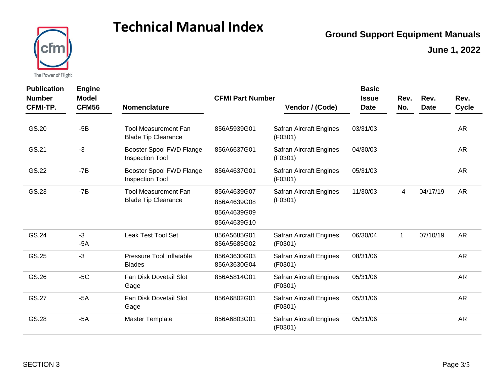

| <b>Publication</b>               | <b>Engine</b>                |                                                           |                                                          | <b>Basic</b>                              |                             |             |                     |                      |
|----------------------------------|------------------------------|-----------------------------------------------------------|----------------------------------------------------------|-------------------------------------------|-----------------------------|-------------|---------------------|----------------------|
| <b>Number</b><br><b>CFMI-TP.</b> | <b>Model</b><br><b>CFM56</b> | <b>Nomenclature</b>                                       | <b>CFMI Part Number</b>                                  | Vendor / (Code)                           | <b>Issue</b><br><b>Date</b> | Rev.<br>No. | Rev.<br><b>Date</b> | Rev.<br><b>Cycle</b> |
| GS.20                            | $-5B$                        | <b>Tool Measurement Fan</b><br><b>Blade Tip Clearance</b> | 856A5939G01                                              | Safran Aircraft Engines<br>(F0301)        | 03/31/03                    |             |                     | <b>AR</b>            |
| GS.21                            | $-3$                         | Booster Spool FWD Flange<br>Inspection Tool               | 856A6637G01                                              | Safran Aircraft Engines<br>(F0301)        | 04/30/03                    |             |                     | <b>AR</b>            |
| GS.22                            | $-7B$                        | Booster Spool FWD Flange<br>Inspection Tool               | 856A4637G01                                              | <b>Safran Aircraft Engines</b><br>(F0301) | 05/31/03                    |             |                     | <b>AR</b>            |
| GS.23                            | $-7B$                        | <b>Tool Measurement Fan</b><br><b>Blade Tip Clearance</b> | 856A4639G07<br>856A4639G08<br>856A4639G09<br>856A4639G10 | <b>Safran Aircraft Engines</b><br>(F0301) | 11/30/03                    | 4           | 04/17/19            | <b>AR</b>            |
| GS.24                            | $-3$<br>$-5A$                | <b>Leak Test Tool Set</b>                                 | 856A5685G01<br>856A5685G02                               | Safran Aircraft Engines<br>(F0301)        | 06/30/04                    | $\mathbf 1$ | 07/10/19            | <b>AR</b>            |
| GS.25                            | $-3$                         | Pressure Tool Inflatable<br><b>Blades</b>                 | 856A3630G03<br>856A3630G04                               | <b>Safran Aircraft Engines</b><br>(F0301) | 08/31/06                    |             |                     | <b>AR</b>            |
| GS.26                            | $-5C$                        | Fan Disk Dovetail Slot<br>Gage                            | 856A5814G01                                              | Safran Aircraft Engines<br>(F0301)        | 05/31/06                    |             |                     | <b>AR</b>            |
| GS.27                            | $-5A$                        | Fan Disk Dovetail Slot<br>Gage                            | 856A6802G01                                              | <b>Safran Aircraft Engines</b><br>(F0301) | 05/31/06                    |             |                     | <b>AR</b>            |
| GS.28                            | $-5A$                        | <b>Master Template</b>                                    | 856A6803G01                                              | Safran Aircraft Engines<br>(F0301)        | 05/31/06                    |             |                     | <b>AR</b>            |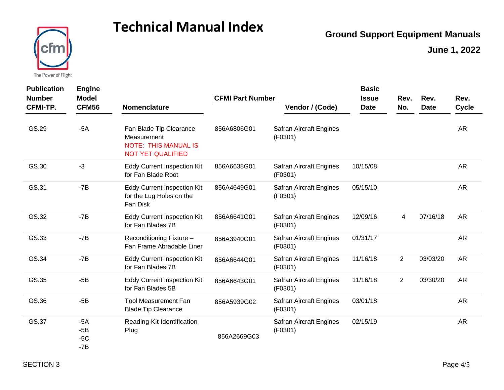



| <b>Publication</b><br><b>Number</b> | <b>Engine</b><br><b>Model</b>    |                                                                                                   | <b>CFMI Part Number</b> |                                           | <b>Basic</b><br><b>Issue</b> | Rev.           | Rev.        | Rev.         |
|-------------------------------------|----------------------------------|---------------------------------------------------------------------------------------------------|-------------------------|-------------------------------------------|------------------------------|----------------|-------------|--------------|
| CFMI-TP.                            | <b>CFM56</b>                     | <b>Nomenclature</b>                                                                               |                         | Vendor / (Code)                           | <b>Date</b>                  | No.            | <b>Date</b> | <b>Cycle</b> |
| GS.29                               | $-5A$                            | Fan Blade Tip Clearance<br>Measurement<br><b>NOTE: THIS MANUAL IS</b><br><b>NOT YET QUALIFIED</b> | 856A6806G01             | Safran Aircraft Engines<br>(F0301)        |                              |                |             | <b>AR</b>    |
| GS.30                               | $-3$                             | <b>Eddy Current Inspection Kit</b><br>for Fan Blade Root                                          | 856A6638G01             | Safran Aircraft Engines<br>(F0301)        | 10/15/08                     |                |             | <b>AR</b>    |
| GS.31                               | $-7B$                            | <b>Eddy Current Inspection Kit</b><br>for the Lug Holes on the<br>Fan Disk                        | 856A4649G01             | Safran Aircraft Engines<br>(F0301)        | 05/15/10                     |                |             | <b>AR</b>    |
| GS.32                               | $-7B$                            | <b>Eddy Current Inspection Kit</b><br>for Fan Blades 7B                                           | 856A6641G01             | <b>Safran Aircraft Engines</b><br>(F0301) | 12/09/16                     | 4              | 07/16/18    | <b>AR</b>    |
| GS.33                               | $-7B$                            | Reconditioning Fixture -<br>Fan Frame Abradable Liner                                             | 856A3940G01             | Safran Aircraft Engines<br>(F0301)        | 01/31/17                     |                |             | <b>AR</b>    |
| GS.34                               | $-7B$                            | <b>Eddy Current Inspection Kit</b><br>for Fan Blades 7B                                           | 856A6644G01             | <b>Safran Aircraft Engines</b><br>(F0301) | 11/16/18                     | $\overline{2}$ | 03/03/20    | <b>AR</b>    |
| GS.35                               | $-5B$                            | <b>Eddy Current Inspection Kit</b><br>for Fan Blades 5B                                           | 856A6643G01             | Safran Aircraft Engines<br>(F0301)        | 11/16/18                     | $\overline{2}$ | 03/30/20    | <b>AR</b>    |
| GS.36                               | $-5B$                            | <b>Tool Measurement Fan</b><br><b>Blade Tip Clearance</b>                                         | 856A5939G02             | Safran Aircraft Engines<br>(F0301)        | 03/01/18                     |                |             | <b>AR</b>    |
| GS.37                               | $-5A$<br>$-5B$<br>$-5C$<br>$-7B$ | Reading Kit Identification<br>Plug                                                                | 856A2669G03             | <b>Safran Aircraft Engines</b><br>(F0301) | 02/15/19                     |                |             | <b>AR</b>    |